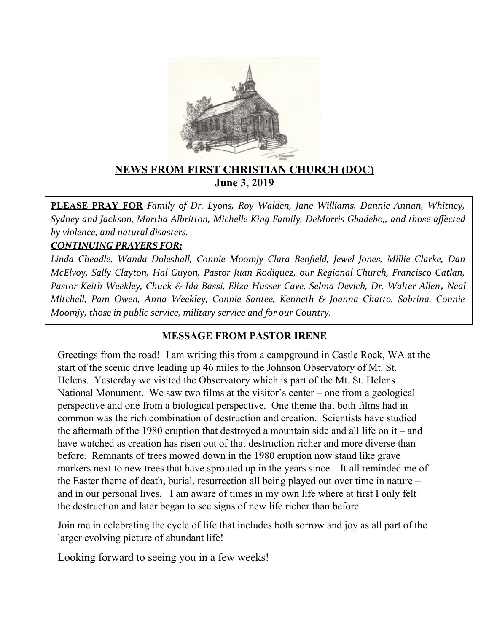

## **NEWS FROM FIRST CHRISTIAN CHURCH (DOC) June 3, 2019**

**PLEASE PRAY FOR** *Family of Dr. Lyons, Roy Walden, Jane Williams, Dannie Annan, Whitney, Sydney and Jackson, Martha Albritton, Michelle King Family, DeMorris Gbadebo,, and those afected by violence, and natural disasters.* 

### *CONTINUING PRAYERS FOR:*

*Linda Cheadle, Wanda Doleshall, Connie Moomjy Clara Benfeld, Jewel Jones, Millie Clarke, Dan McElvoy, Sally Clayton, Hal Guyon, Pastor Juan R0diquez, our Regional Church, Francisco Catlan, Pastor Keith Weekley, Chuck & Ida Bassi, Eliza Husser Cave, Selma Devich, Dr. Walter Allen, Neal Mitchell, Pam Owen, Anna Weekley, Connie Santee, Kenneth & Joanna Chatto, Sabrina, Connie Moomjy, those in public service, military service and for our Country.* 

### **MESSAGE FROM PASTOR IRENE**

Greetings from the road! I am writing this from a campground in Castle Rock, WA at the start of the scenic drive leading up 46 miles to the Johnson Observatory of Mt. St. Helens. Yesterday we visited the Observatory which is part of the Mt. St. Helens National Monument. We saw two films at the visitor's center – one from a geological perspective and one from a biological perspective. One theme that both films had in common was the rich combination of destruction and creation. Scientists have studied the aftermath of the 1980 eruption that destroyed a mountain side and all life on it – and have watched as creation has risen out of that destruction richer and more diverse than before. Remnants of trees mowed down in the 1980 eruption now stand like grave markers next to new trees that have sprouted up in the years since. It all reminded me of the Easter theme of death, burial, resurrection all being played out over time in nature – and in our personal lives. I am aware of times in my own life where at first I only felt the destruction and later began to see signs of new life richer than before.

Join me in celebrating the cycle of life that includes both sorrow and joy as all part of the larger evolving picture of abundant life!

Looking forward to seeing you in a few weeks!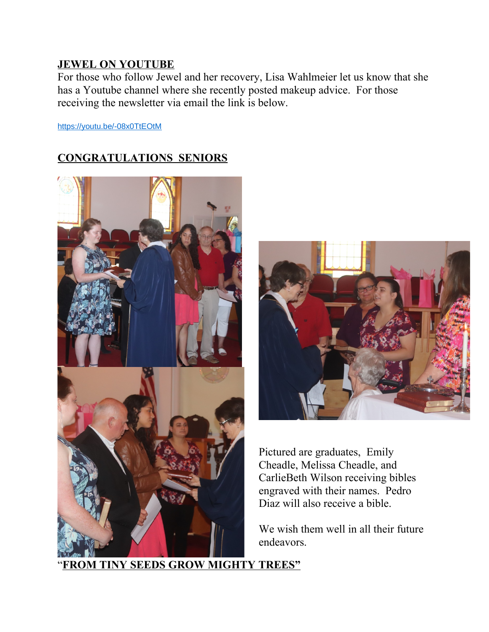### **JEWEL ON YOUTUBE**

For those who follow Jewel and her recovery, Lisa Wahlmeier let us know that she has a Youtube channel where she recently posted makeup advice. For those receiving the newsletter via email the link is below.

<https://youtu.be/-08x0TtEOtM>

## **CONGRATULATIONS SENIORS**





Pictured are graduates, Emily Cheadle, Melissa Cheadle, and CarlieBeth Wilson receiving bibles engraved with their names. Pedro Diaz will also receive a bible.

We wish them well in all their future endeavors.

"**FROM TINY SEEDS GROW MIGHTY TREES"**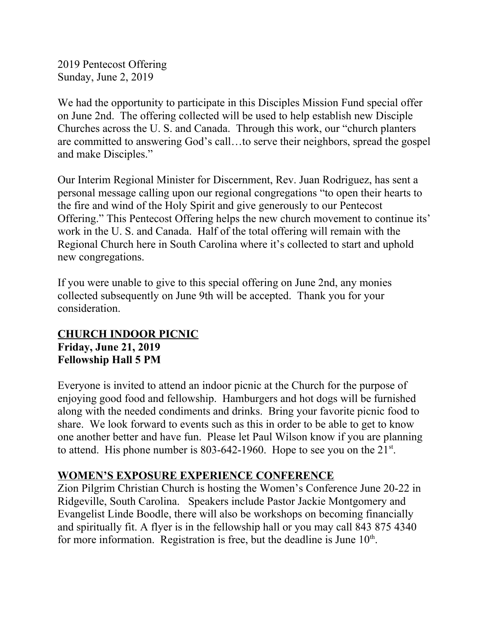2019 Pentecost Offering Sunday, June 2, 2019

We had the opportunity to participate in this Disciples Mission Fund special offer on June 2nd. The offering collected will be used to help establish new Disciple Churches across the U. S. and Canada. Through this work, our "church planters are committed to answering God's call…to serve their neighbors, spread the gospel and make Disciples."

Our Interim Regional Minister for Discernment, Rev. Juan Rodriguez, has sent a personal message calling upon our regional congregations "to open their hearts to the fire and wind of the Holy Spirit and give generously to our Pentecost Offering." This Pentecost Offering helps the new church movement to continue its' work in the U. S. and Canada. Half of the total offering will remain with the Regional Church here in South Carolina where it's collected to start and uphold new congregations.

If you were unable to give to this special offering on June 2nd, any monies collected subsequently on June 9th will be accepted. Thank you for your consideration.

## **CHURCH INDOOR PICNIC Friday, June 21, 2019 Fellowship Hall 5 PM**

Everyone is invited to attend an indoor picnic at the Church for the purpose of enjoying good food and fellowship. Hamburgers and hot dogs will be furnished along with the needed condiments and drinks. Bring your favorite picnic food to share. We look forward to events such as this in order to be able to get to know one another better and have fun. Please let Paul Wilson know if you are planning to attend. His phone number is  $803-642-1960$ . Hope to see you on the  $21^{st}$ .

## **WOMEN'S EXPOSURE EXPERIENCE CONFERENCE**

Zion Pilgrim Christian Church is hosting the Women's Conference June 20-22 in Ridgeville, South Carolina. Speakers include Pastor Jackie Montgomery and Evangelist Linde Boodle, there will also be workshops on becoming financially and spiritually fit. A flyer is in the fellowship hall or you may call 843 875 4340 for more information. Registration is free, but the deadline is June  $10<sup>th</sup>$ .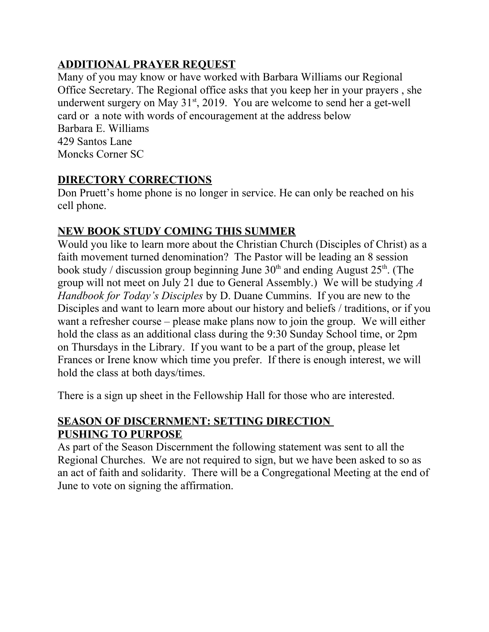# **ADDITIONAL PRAYER REQUEST**

Many of you may know or have worked with Barbara Williams our Regional Office Secretary. The Regional office asks that you keep her in your prayers , she underwent surgery on May  $31<sup>st</sup>$ , 2019. You are welcome to send her a get-well card or a note with words of encouragement at the address below Barbara E. Williams 429 Santos Lane Moncks Corner SC

# **DIRECTORY CORRECTIONS**

Don Pruett's home phone is no longer in service. He can only be reached on his cell phone.

# **NEW BOOK STUDY COMING THIS SUMMER**

Would you like to learn more about the Christian Church (Disciples of Christ) as a faith movement turned denomination? The Pastor will be leading an 8 session book study / discussion group beginning June  $30<sup>th</sup>$  and ending August  $25<sup>th</sup>$ . (The group will not meet on July 21 due to General Assembly.) We will be studying *A Handbook for Today's Disciples* by D. Duane Cummins. If you are new to the Disciples and want to learn more about our history and beliefs / traditions, or if you want a refresher course – please make plans now to join the group. We will either hold the class as an additional class during the 9:30 Sunday School time, or 2pm on Thursdays in the Library. If you want to be a part of the group, please let Frances or Irene know which time you prefer. If there is enough interest, we will hold the class at both days/times.

There is a sign up sheet in the Fellowship Hall for those who are interested.

# **SEASON OF DISCERNMENT: SETTING DIRECTION PUSHING TO PURPOSE**

As part of the Season Discernment the following statement was sent to all the Regional Churches. We are not required to sign, but we have been asked to so as an act of faith and solidarity. There will be a Congregational Meeting at the end of June to vote on signing the affirmation.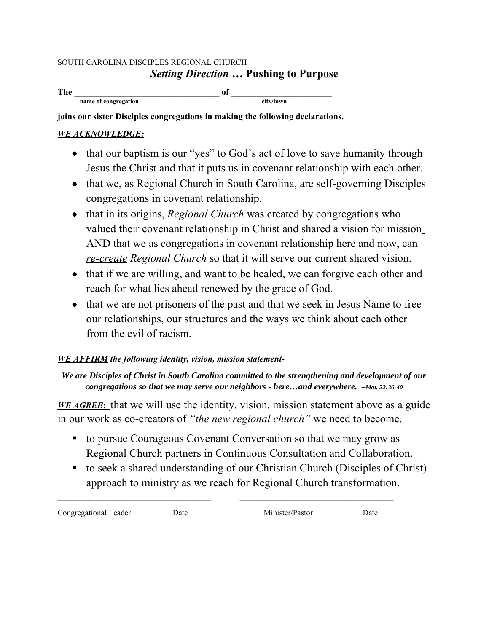#### SOUTH CAROLINA DISCIPLES REGIONAL CHURCH *Setting Direction* **… Pushing to Purpose**

**The** \_\_\_\_\_\_\_\_\_\_\_\_\_\_\_\_\_\_\_\_\_\_\_\_\_\_\_\_\_\_\_\_\_ **of** \_\_\_\_\_\_\_\_\_\_\_\_\_\_\_\_\_\_\_\_\_\_\_ **name of congregation** city/town

**joins our sister Disciples congregations in making the following declarations.**

### *WE ACKNOWLEDGE:*

- that our baptism is our "yes" to God's act of love to save humanity through Jesus the Christ and that it puts us in covenant relationship with each other.
- that we, as Regional Church in South Carolina, are self-governing Disciples congregations in covenant relationship.
- that in its origins, *Regional Church* was created by congregations who valued their covenant relationship in Christ and shared a vision for mission AND that we as congregations in covenant relationship here and now, can *re-create Regional Church* so that it will serve our current shared vision.
- that if we are willing, and want to be healed, we can forgive each other and reach for what lies ahead renewed by the grace of God.
- that we are not prisoners of the past and that we seek in Jesus Name to free our relationships, our structures and the ways we think about each other from the evil of racism.

### *WE AFFIRM the following identity, vision, mission statement-*

### *We are Disciples of Christ in South Carolina committed to the strengthening and development of our congregations so that we may serve our neighbors - here…and everywhere. –Mat. 22:36-40*

*WE AGREE*: that we will use the identity, vision, mission statement above as a guide in our work as co-creators of *"the new regional church"* we need to become.

 to pursue Courageous Covenant Conversation so that we may grow as Regional Church partners in Continuous Consultation and Collaboration.

 $\mathcal{L}_\text{max} = \mathcal{L}_\text{max} = \mathcal{L}_\text{max} = \mathcal{L}_\text{max} = \mathcal{L}_\text{max} = \mathcal{L}_\text{max} = \mathcal{L}_\text{max} = \mathcal{L}_\text{max} = \mathcal{L}_\text{max} = \mathcal{L}_\text{max} = \mathcal{L}_\text{max} = \mathcal{L}_\text{max} = \mathcal{L}_\text{max} = \mathcal{L}_\text{max} = \mathcal{L}_\text{max} = \mathcal{L}_\text{max} = \mathcal{L}_\text{max} = \mathcal{L}_\text{max} = \mathcal{$ 

 to seek a shared understanding of our Christian Church (Disciples of Christ) approach to ministry as we reach for Regional Church transformation.

Congregational Leader Date Minister/Pastor Date